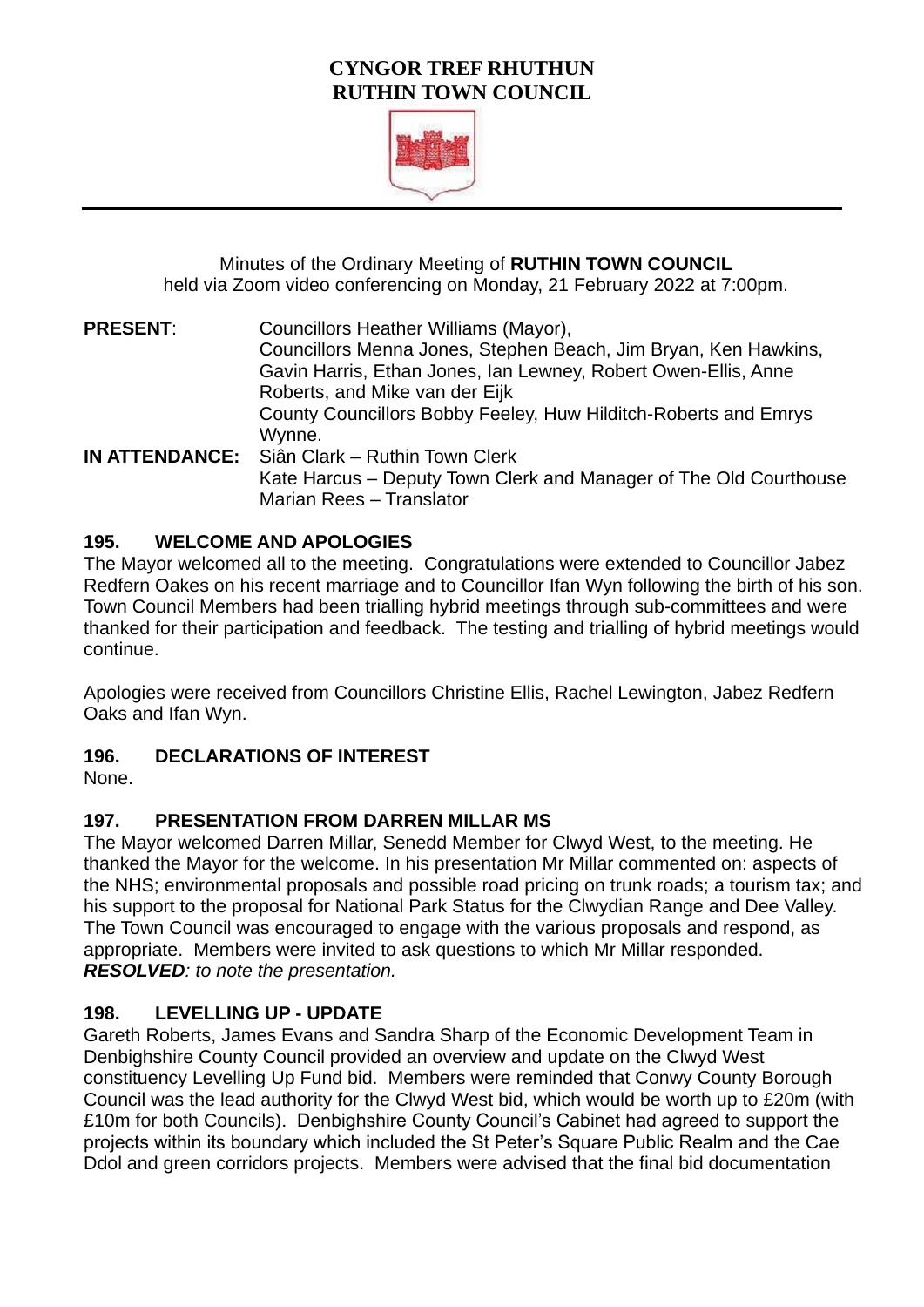# **CYNGOR TREF RHUTHUN RUTHIN TOWN COUNCIL**



Minutes of the Ordinary Meeting of **RUTHIN TOWN COUNCIL**  held via Zoom video conferencing on Monday, 21 February 2022 at 7:00pm.

**PRESENT**: Councillors Heather Williams (Mayor), Councillors Menna Jones, Stephen Beach, Jim Bryan, Ken Hawkins, Gavin Harris, Ethan Jones, Ian Lewney, Robert Owen-Ellis, Anne Roberts, and Mike van der Eijk County Councillors Bobby Feeley, Huw Hilditch-Roberts and Emrys Wynne. **IN ATTENDANCE:** Siân Clark – Ruthin Town Clerk Kate Harcus – Deputy Town Clerk and Manager of The Old Courthouse

# **195. WELCOME AND APOLOGIES**

The Mayor welcomed all to the meeting. Congratulations were extended to Councillor Jabez Redfern Oakes on his recent marriage and to Councillor Ifan Wyn following the birth of his son. Town Council Members had been trialling hybrid meetings through sub-committees and were thanked for their participation and feedback. The testing and trialling of hybrid meetings would continue.

Apologies were received from Councillors Christine Ellis, Rachel Lewington, Jabez Redfern Oaks and Ifan Wyn.

# **196. DECLARATIONS OF INTEREST**

None.

#### **197. PRESENTATION FROM DARREN MILLAR MS**

Marian Rees – Translator

The Mayor welcomed Darren Millar, Senedd Member for Clwyd West, to the meeting. He thanked the Mayor for the welcome. In his presentation Mr Millar commented on: aspects of the NHS; environmental proposals and possible road pricing on trunk roads; a tourism tax; and his support to the proposal for National Park Status for the Clwydian Range and Dee Valley. The Town Council was encouraged to engage with the various proposals and respond, as appropriate. Members were invited to ask questions to which Mr Millar responded. *RESOLVED: to note the presentation.*

#### **198. LEVELLING UP - UPDATE**

Gareth Roberts, James Evans and Sandra Sharp of the Economic Development Team in Denbighshire County Council provided an overview and update on the Clwyd West constituency Levelling Up Fund bid. Members were reminded that Conwy County Borough Council was the lead authority for the Clwyd West bid, which would be worth up to £20m (with £10m for both Councils). Denbighshire County Council's Cabinet had agreed to support the projects within its boundary which included the St Peter's Square Public Realm and the Cae Ddol and green corridors projects. Members were advised that the final bid documentation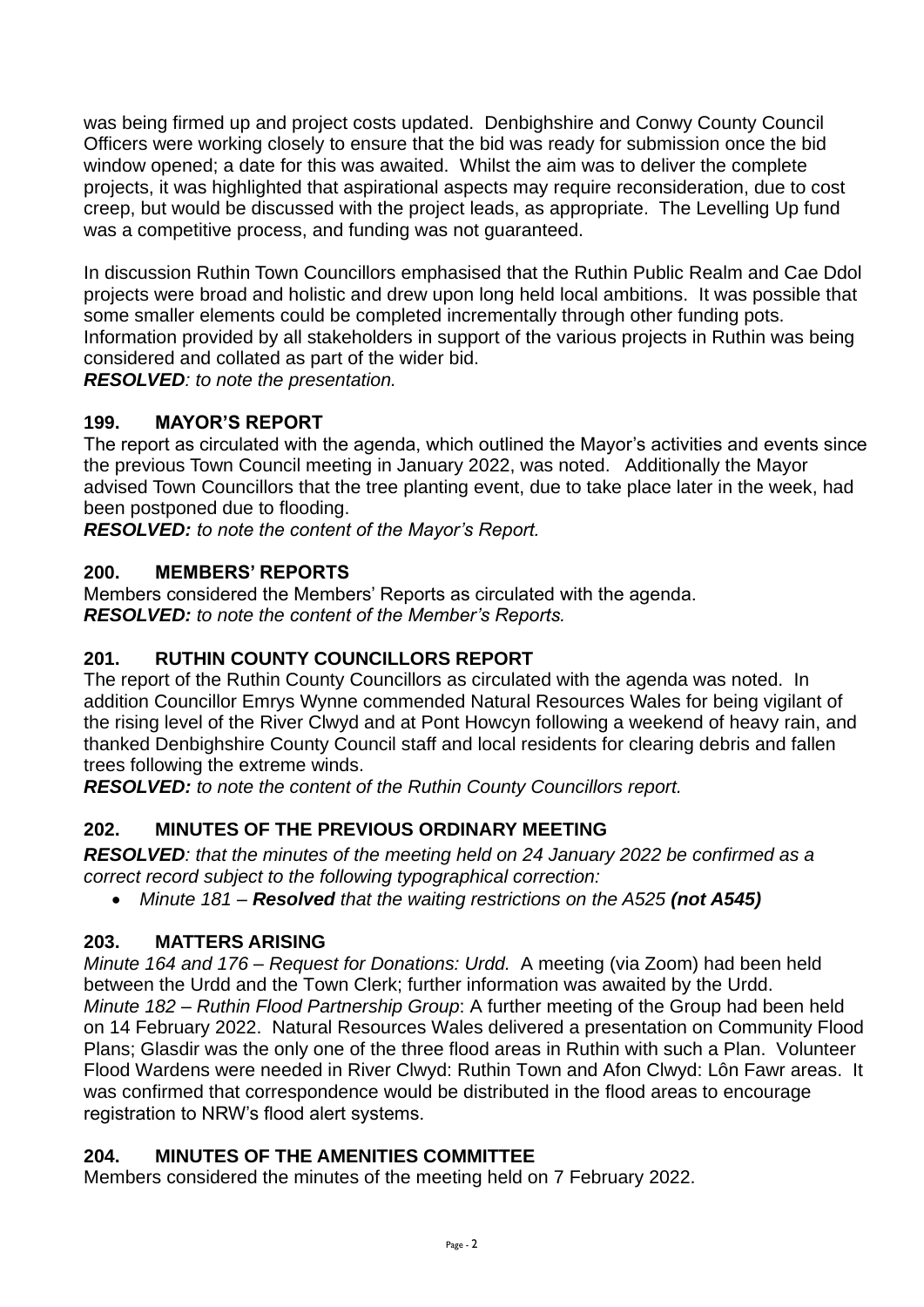was being firmed up and project costs updated. Denbighshire and Conwy County Council Officers were working closely to ensure that the bid was ready for submission once the bid window opened; a date for this was awaited. Whilst the aim was to deliver the complete projects, it was highlighted that aspirational aspects may require reconsideration, due to cost creep, but would be discussed with the project leads, as appropriate. The Levelling Up fund was a competitive process, and funding was not guaranteed.

In discussion Ruthin Town Councillors emphasised that the Ruthin Public Realm and Cae Ddol projects were broad and holistic and drew upon long held local ambitions. It was possible that some smaller elements could be completed incrementally through other funding pots. Information provided by all stakeholders in support of the various projects in Ruthin was being considered and collated as part of the wider bid.

*RESOLVED: to note the presentation.*

# **199. MAYOR'S REPORT**

The report as circulated with the agenda, which outlined the Mayor's activities and events since the previous Town Council meeting in January 2022, was noted. Additionally the Mayor advised Town Councillors that the tree planting event, due to take place later in the week, had been postponed due to flooding.

*RESOLVED: to note the content of the Mayor's Report.*

# **200. MEMBERS' REPORTS**

Members considered the Members' Reports as circulated with the agenda. *RESOLVED: to note the content of the Member's Reports.*

# **201. RUTHIN COUNTY COUNCILLORS REPORT**

The report of the Ruthin County Councillors as circulated with the agenda was noted. In addition Councillor Emrys Wynne commended Natural Resources Wales for being vigilant of the rising level of the River Clwyd and at Pont Howcyn following a weekend of heavy rain, and thanked Denbighshire County Council staff and local residents for clearing debris and fallen trees following the extreme winds.

*RESOLVED: to note the content of the Ruthin County Councillors report.*

# **202. MINUTES OF THE PREVIOUS ORDINARY MEETING**

*RESOLVED: that the minutes of the meeting held on 24 January 2022 be confirmed as a correct record subject to the following typographical correction:*

• *Minute 181* – *Resolved that the waiting restrictions on the A525 (not A545)*

# **203. MATTERS ARISING**

*Minute 164 and 176 – Request for Donations: Urdd.* A meeting (via Zoom) had been held between the Urdd and the Town Clerk; further information was awaited by the Urdd. *Minute 182 – Ruthin Flood Partnership Group*: A further meeting of the Group had been held on 14 February 2022. Natural Resources Wales delivered a presentation on Community Flood Plans; Glasdir was the only one of the three flood areas in Ruthin with such a Plan. Volunteer Flood Wardens were needed in River Clwyd: Ruthin Town and Afon Clwyd: Lôn Fawr areas. It was confirmed that correspondence would be distributed in the flood areas to encourage registration to NRW's flood alert systems.

# **204. MINUTES OF THE AMENITIES COMMITTEE**

Members considered the minutes of the meeting held on 7 February 2022.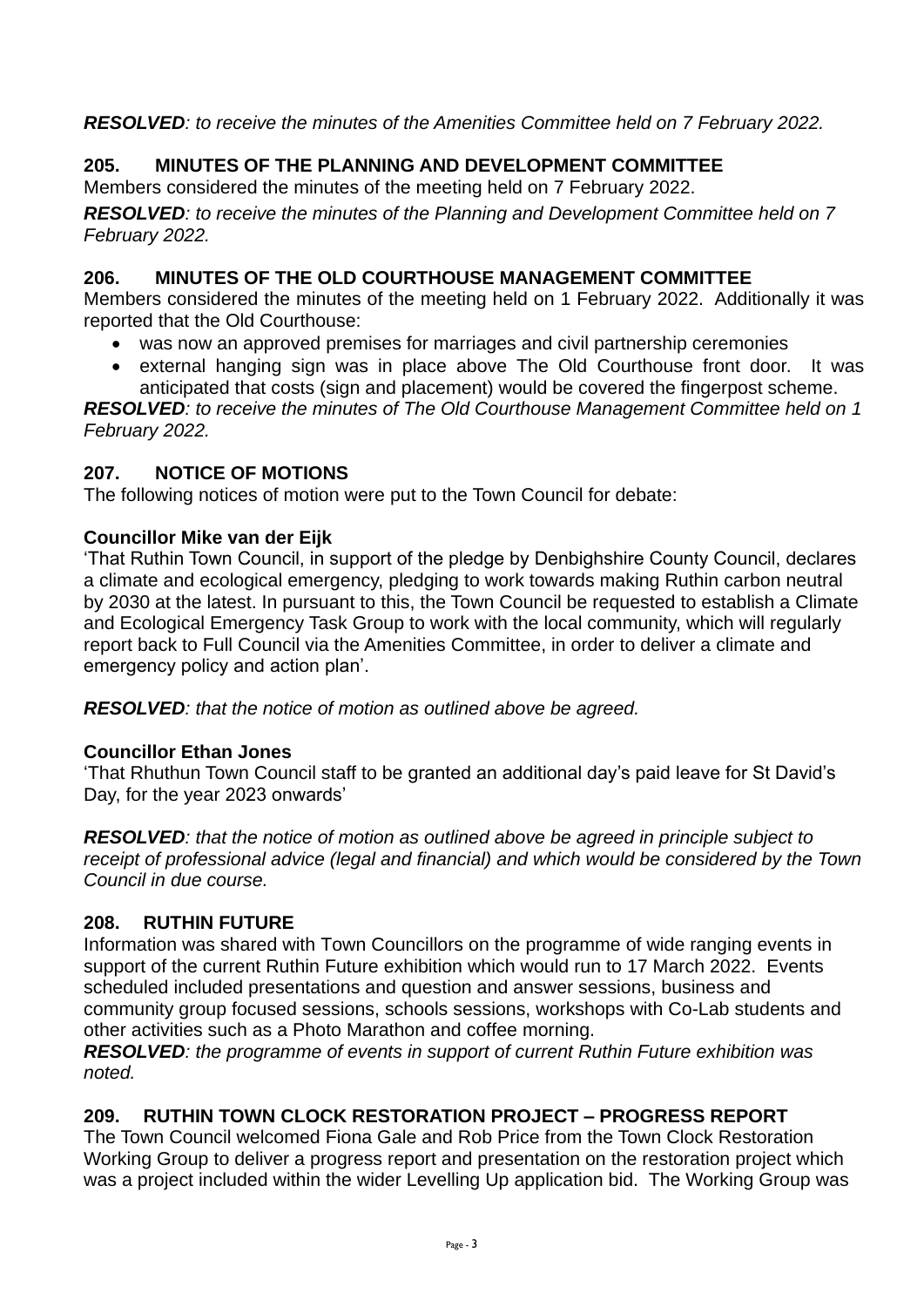*RESOLVED: to receive the minutes of the Amenities Committee held on 7 February 2022.* 

# **205. MINUTES OF THE PLANNING AND DEVELOPMENT COMMITTEE**

Members considered the minutes of the meeting held on 7 February 2022.

*RESOLVED: to receive the minutes of the Planning and Development Committee held on 7 February 2022.* 

# **206. MINUTES OF THE OLD COURTHOUSE MANAGEMENT COMMITTEE**

Members considered the minutes of the meeting held on 1 February 2022. Additionally it was reported that the Old Courthouse:

- was now an approved premises for marriages and civil partnership ceremonies
- external hanging sign was in place above The Old Courthouse front door. It was anticipated that costs (sign and placement) would be covered the fingerpost scheme.

*RESOLVED: to receive the minutes of The Old Courthouse Management Committee held on 1 February 2022.* 

# **207. NOTICE OF MOTIONS**

The following notices of motion were put to the Town Council for debate:

# **Councillor Mike van der Eijk**

'That Ruthin Town Council, in support of the pledge by Denbighshire County Council, declares a climate and ecological emergency, pledging to work towards making Ruthin carbon neutral by 2030 at the latest. In pursuant to this, the Town Council be requested to establish a Climate and Ecological Emergency Task Group to work with the local community, which will regularly report back to Full Council via the Amenities Committee, in order to deliver a climate and emergency policy and action plan'.

*RESOLVED: that the notice of motion as outlined above be agreed.*

# **Councillor Ethan Jones**

'That Rhuthun Town Council staff to be granted an additional day's paid leave for St David's Day, for the year 2023 onwards'

*RESOLVED: that the notice of motion as outlined above be agreed in principle subject to receipt of professional advice (legal and financial) and which would be considered by the Town Council in due course.*

# **208. RUTHIN FUTURE**

Information was shared with Town Councillors on the programme of wide ranging events in support of the current Ruthin Future exhibition which would run to 17 March 2022. Events scheduled included presentations and question and answer sessions, business and community group focused sessions, schools sessions, workshops with Co-Lab students and other activities such as a Photo Marathon and coffee morning.

*RESOLVED: the programme of events in support of current Ruthin Future exhibition was noted.*

# **209. RUTHIN TOWN CLOCK RESTORATION PROJECT – PROGRESS REPORT**

The Town Council welcomed Fiona Gale and Rob Price from the Town Clock Restoration Working Group to deliver a progress report and presentation on the restoration project which was a project included within the wider Levelling Up application bid. The Working Group was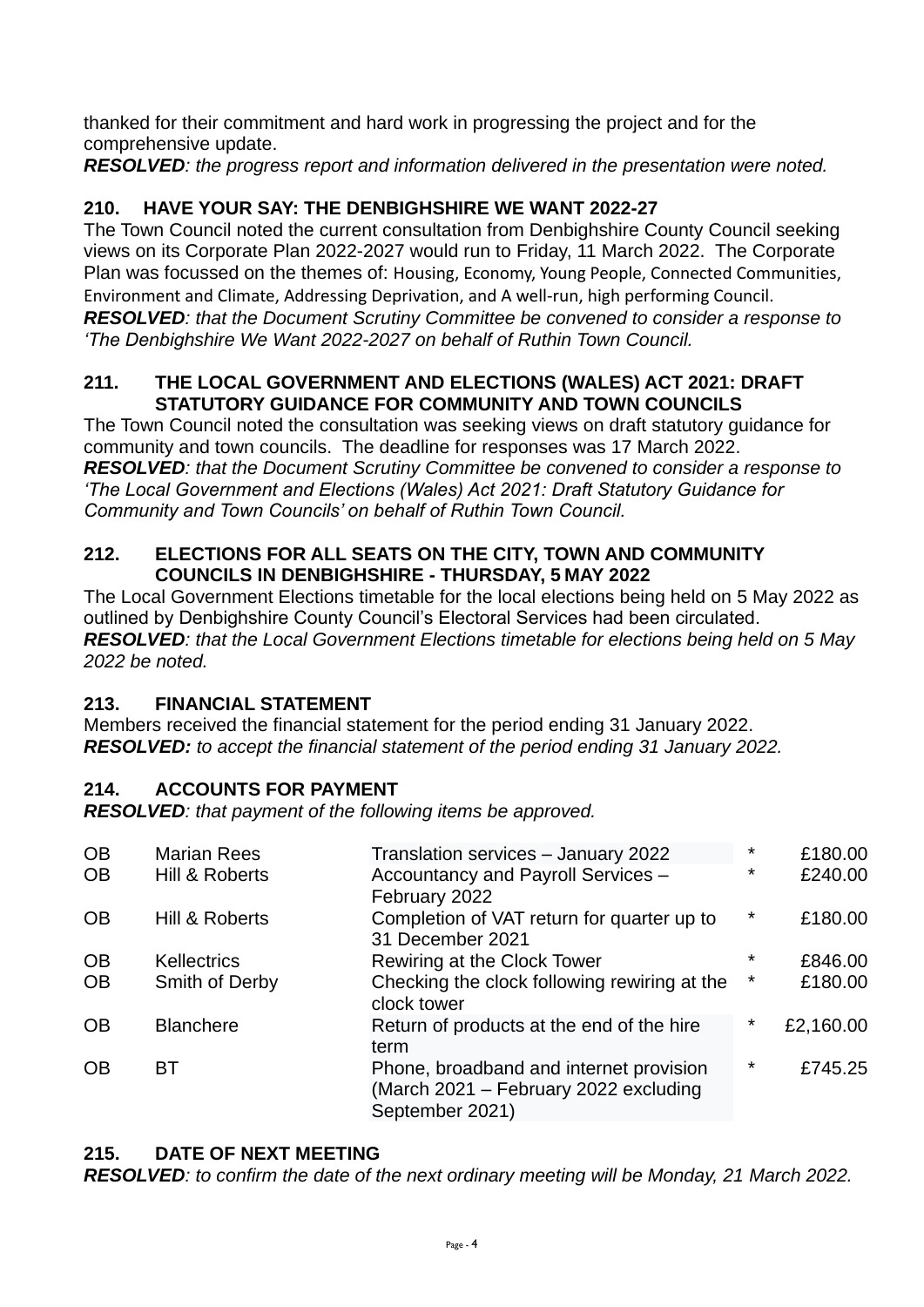thanked for their commitment and hard work in progressing the project and for the comprehensive update.

*RESOLVED: the progress report and information delivered in the presentation were noted.*

# **210. HAVE YOUR SAY: THE DENBIGHSHIRE WE WANT 2022-27**

The Town Council noted the current consultation from Denbighshire County Council seeking views on its Corporate Plan 2022-2027 would run to Friday, 11 March 2022. The Corporate Plan was focussed on the themes of: Housing, Economy, Young People, Connected Communities, Environment and Climate, Addressing Deprivation, and A well-run, high performing Council. *RESOLVED: that the Document Scrutiny Committee be convened to consider a response to 'The Denbighshire We Want 2022-2027 on behalf of Ruthin Town Council.*

#### **211. THE LOCAL GOVERNMENT AND ELECTIONS (WALES) ACT 2021: DRAFT STATUTORY GUIDANCE FOR COMMUNITY AND TOWN COUNCILS**

The Town Council noted the consultation was seeking views on draft statutory guidance for community and town councils. The deadline for responses was 17 March 2022. *RESOLVED: that the Document Scrutiny Committee be convened to consider a response to 'The Local Government and Elections (Wales) Act 2021: Draft Statutory Guidance for Community and Town Councils' on behalf of Ruthin Town Council.*

#### **212. ELECTIONS FOR ALL SEATS ON THE CITY, TOWN AND COMMUNITY COUNCILS IN DENBIGHSHIRE - THURSDAY, 5 MAY 2022**

The Local Government Elections timetable for the local elections being held on 5 May 2022 as outlined by Denbighshire County Council's Electoral Services had been circulated. *RESOLVED: that the Local Government Elections timetable for elections being held on 5 May 2022 be noted.*

# **213. FINANCIAL STATEMENT**

Members received the financial statement for the period ending 31 January 2022. *RESOLVED: to accept the financial statement of the period ending 31 January 2022.*

# **214. ACCOUNTS FOR PAYMENT**

*RESOLVED: that payment of the following items be approved.*

| <b>OB</b> | <b>Marian Rees</b> | Translation services - January 2022                                                                 | $\ast$ | £180.00   |
|-----------|--------------------|-----------------------------------------------------------------------------------------------------|--------|-----------|
| <b>OB</b> | Hill & Roberts     | Accountancy and Payroll Services -<br>February 2022                                                 | *      | £240.00   |
| <b>OB</b> | Hill & Roberts     | Completion of VAT return for quarter up to<br>31 December 2021                                      | *      | £180.00   |
| <b>OB</b> | <b>Kellectrics</b> | Rewiring at the Clock Tower                                                                         | *      | £846.00   |
| <b>OB</b> | Smith of Derby     | Checking the clock following rewiring at the<br>clock tower                                         | *      | £180.00   |
| <b>OB</b> | <b>Blanchere</b>   | Return of products at the end of the hire<br>term                                                   | *      | £2,160.00 |
| <b>OB</b> | BТ                 | Phone, broadband and internet provision<br>(March 2021 – February 2022 excluding<br>September 2021) | *      | £745.25   |

# **215. DATE OF NEXT MEETING**

*RESOLVED: to confirm the date of the next ordinary meeting will be Monday, 21 March 2022.*